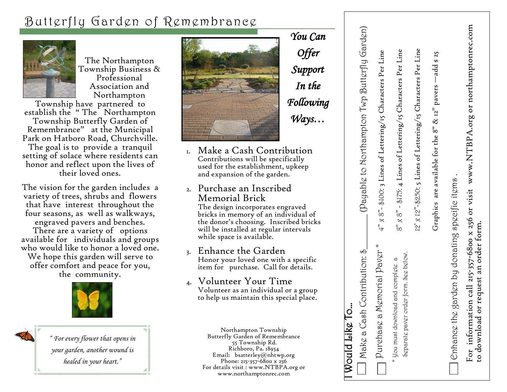# Butterfly Garden of Remembrance



The Northampton Township Business & Professional Association and Northampton

Township have partnered to establish the " The Northampton Township Butterfly Garden of Remembrance" at the Municipal Park on Hatboro Road, Churchville. The goal is to provide a tranquil setting of solace where residents can honor and reflect upon the lives of their loved ones.

The vision for the garden includes a variety of trees, shrubs and flowers that have interest throughout the four seasons, as well as walkways, engraved pavers and benches.

There are a variety of options available for individuals and groups who would like to honor a loved one.

We hope this garden will serve to offer comfort and peace for you, the community.



*" For every flower that opens in your garden, another wound is healed in your heart."*



1. Make a Cash Contribution Contributions will be specifically used for the establishment, upkeep and expansion of the garden.

*You Can* 

*Offer* 

*Support* 

*In the* 

*Following* 

*Ways…*

2. Purchase an Inscribed Memorial Brick

The design incorporates engraved bricks in memory of an individual of the donor's choosing. Inscribed bricks will be installed at regular intervals while space is available.

#### 3. Enhance the Garden Honor your loved one with a specific item for purchase. Call for details.

#### 4. Volunteer Your Time Volunteer as an individual or a group to help us maintain this special place.

Northampton Township Butterfly Garden of Remembrance 55 Township Rd. Richboro, Pa. 18954 Email: bsatterley@nhtwp.org Phone: 215-357-6800 x 256 For details visit : www.NTBPA.org or www.northamptonrec.com

| Would Like To                                                               |                                                                        |
|-----------------------------------------------------------------------------|------------------------------------------------------------------------|
| Contribution: $\oint$<br>Make a Cash                                        | (Payable to Northampton Twp Butterfly Garden)                          |
| emorial Paver*<br>Purchase a M                                              | 4" x 8"- \$100: 3 Lines of Lettering/15 Characters Per Line            |
| Separate paver order form. See below.<br>* You must download and complete a | $8"$ x $8"$ - \$175: 4 Lines of Lettering/15 Characters Per Line       |
|                                                                             | 12' x 12"-\$250: 5 Lines of Lettering/15 Characters Per Line           |
|                                                                             | Graphics are available for the 8" & 12" pavers -add \$ 25              |
| , arden by donating specific items,<br>Enhance the g                        |                                                                        |
| request an order form.<br>For informatio<br>to download or                  | n call 215-357-6800 x 256 or visit www.NTBPA.org or northamptonrec.com |